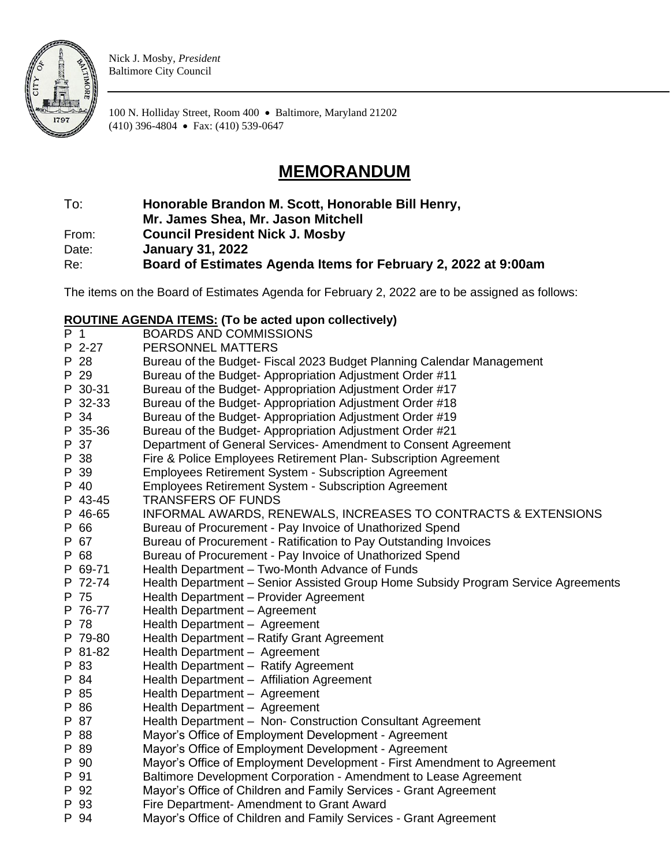

Nick J. Mosby, *President* Baltimore City Council

100 N. Holliday Street, Room 400 • Baltimore, Maryland 21202 (410) 396-4804 • Fax: (410) 539-0647

## **MEMORANDUM**

To: **Honorable Brandon M. Scott, Honorable Bill Henry,** 

**Mr. James Shea, Mr. Jason Mitchell**

From: **Council President Nick J. Mosby**

Date: **January 31, 2022**

Re: **Board of Estimates Agenda Items for February 2, 2022 at 9:00am**

The items on the Board of Estimates Agenda for February 2, 2022 are to be assigned as follows:

## **ROUTINE AGENDA ITEMS: (To be acted upon collectively)**

| P 1 |         | <b>BOARDS AND COMMISSIONS</b>                                                     |
|-----|---------|-----------------------------------------------------------------------------------|
|     | P 2-27  | PERSONNEL MATTERS                                                                 |
|     | P 28    | Bureau of the Budget- Fiscal 2023 Budget Planning Calendar Management             |
|     | P 29    | Bureau of the Budget-Appropriation Adjustment Order #11                           |
|     | P 30-31 | Bureau of the Budget-Appropriation Adjustment Order #17                           |
|     | P 32-33 | Bureau of the Budget-Appropriation Adjustment Order #18                           |
|     | P 34    | Bureau of the Budget-Appropriation Adjustment Order #19                           |
|     | P 35-36 | Bureau of the Budget-Appropriation Adjustment Order #21                           |
|     | P 37    | Department of General Services-Amendment to Consent Agreement                     |
|     | P 38    | Fire & Police Employees Retirement Plan- Subscription Agreement                   |
|     | P 39    | <b>Employees Retirement System - Subscription Agreement</b>                       |
|     | P 40    | <b>Employees Retirement System - Subscription Agreement</b>                       |
|     | P 43-45 | <b>TRANSFERS OF FUNDS</b>                                                         |
|     | P 46-65 | INFORMAL AWARDS, RENEWALS, INCREASES TO CONTRACTS & EXTENSIONS                    |
|     | P 66    | Bureau of Procurement - Pay Invoice of Unathorized Spend                          |
|     | P 67    | Bureau of Procurement - Ratification to Pay Outstanding Invoices                  |
|     | P 68    | Bureau of Procurement - Pay Invoice of Unathorized Spend                          |
|     | P 69-71 | Health Department - Two-Month Advance of Funds                                    |
|     | P 72-74 | Health Department - Senior Assisted Group Home Subsidy Program Service Agreements |
|     | P 75    | Health Department - Provider Agreement                                            |
|     | P 76-77 | Health Department - Agreement                                                     |
|     | P 78    | Health Department - Agreement                                                     |
|     | P 79-80 | Health Department - Ratify Grant Agreement                                        |
|     | P 81-82 | Health Department - Agreement                                                     |
|     | P 83    | Health Department - Ratify Agreement                                              |
|     | P 84    | Health Department - Affiliation Agreement                                         |
|     | P 85    | Health Department - Agreement                                                     |
|     | P 86    | Health Department - Agreement                                                     |
|     | P 87    | Health Department - Non- Construction Consultant Agreement                        |
|     | P 88    | Mayor's Office of Employment Development - Agreement                              |
|     | P 89    | Mayor's Office of Employment Development - Agreement                              |
|     | P 90    | Mayor's Office of Employment Development - First Amendment to Agreement           |
|     | P 91    | Baltimore Development Corporation - Amendment to Lease Agreement                  |
|     | P 92    | Mayor's Office of Children and Family Services - Grant Agreement                  |
|     | P 93    | Fire Department- Amendment to Grant Award                                         |
|     | P 94    | Mayor's Office of Children and Family Services - Grant Agreement                  |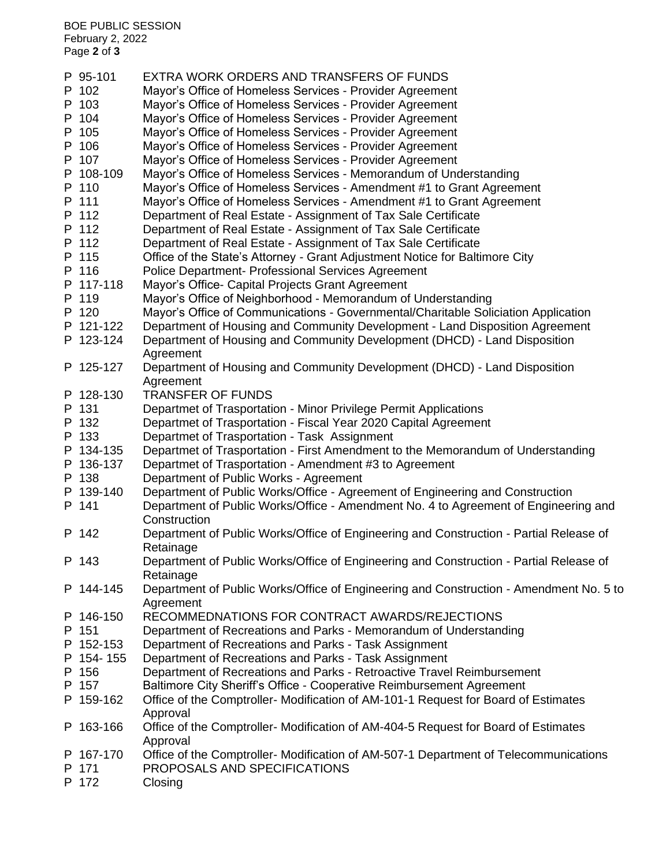BOE PUBLIC SESSION February 2, 2022 Page **2** of **3**

| P 95-101  | EXTRA WORK ORDERS AND TRANSFERS OF FUNDS                                               |
|-----------|----------------------------------------------------------------------------------------|
| P 102     | Mayor's Office of Homeless Services - Provider Agreement                               |
| P 103     | Mayor's Office of Homeless Services - Provider Agreement                               |
| P 104     | Mayor's Office of Homeless Services - Provider Agreement                               |
| P 105     | Mayor's Office of Homeless Services - Provider Agreement                               |
| P 106     | Mayor's Office of Homeless Services - Provider Agreement                               |
| P 107     | Mayor's Office of Homeless Services - Provider Agreement                               |
| P 108-109 | Mayor's Office of Homeless Services - Memorandum of Understanding                      |
| P 110     | Mayor's Office of Homeless Services - Amendment #1 to Grant Agreement                  |
| P 111     | Mayor's Office of Homeless Services - Amendment #1 to Grant Agreement                  |
| P 112     | Department of Real Estate - Assignment of Tax Sale Certificate                         |
| P 112     |                                                                                        |
| P 112     | Department of Real Estate - Assignment of Tax Sale Certificate                         |
|           | Department of Real Estate - Assignment of Tax Sale Certificate                         |
| P 115     | Office of the State's Attorney - Grant Adjustment Notice for Baltimore City            |
| P 116     | Police Department- Professional Services Agreement                                     |
| P 117-118 | Mayor's Office- Capital Projects Grant Agreement                                       |
| P 119     | Mayor's Office of Neighborhood - Memorandum of Understanding                           |
| P 120     | Mayor's Office of Communications - Governmental/Charitable Soliciation Application     |
| P 121-122 | Department of Housing and Community Development - Land Disposition Agreement           |
| P 123-124 | Department of Housing and Community Development (DHCD) - Land Disposition              |
|           | Agreement                                                                              |
| P 125-127 | Department of Housing and Community Development (DHCD) - Land Disposition              |
|           | Agreement                                                                              |
| P 128-130 | <b>TRANSFER OF FUNDS</b>                                                               |
| P 131     | Departmet of Trasportation - Minor Privilege Permit Applications                       |
| P 132     | Departmet of Trasportation - Fiscal Year 2020 Capital Agreement                        |
| P 133     | Departmet of Trasportation - Task Assignment                                           |
| P 134-135 | Departmet of Trasportation - First Amendment to the Memorandum of Understanding        |
| P 136-137 | Departmet of Trasportation - Amendment #3 to Agreement                                 |
| P 138     | Department of Public Works - Agreement                                                 |
| P 139-140 | Department of Public Works/Office - Agreement of Engineering and Construction          |
| P 141     | Department of Public Works/Office - Amendment No. 4 to Agreement of Engineering and    |
|           | Construction                                                                           |
| P 142     | Department of Public Works/Office of Engineering and Construction - Partial Release of |
|           | Retainage                                                                              |
| P 143     | Department of Public Works/Office of Engineering and Construction - Partial Release of |
|           | Retainage                                                                              |
| P 144-145 | Department of Public Works/Office of Engineering and Construction - Amendment No. 5 to |
|           | Agreement                                                                              |
| P 146-150 | RECOMMEDNATIONS FOR CONTRACT AWARDS/REJECTIONS                                         |
| P 151     | Department of Recreations and Parks - Memorandum of Understanding                      |
| P 152-153 | Department of Recreations and Parks - Task Assignment                                  |
| P 154-155 | Department of Recreations and Parks - Task Assignment                                  |
| P 156     | Department of Recreations and Parks - Retroactive Travel Reimbursement                 |
| P 157     | Baltimore City Sheriff's Office - Cooperative Reimbursement Agreement                  |
| P 159-162 | Office of the Comptroller-Modification of AM-101-1 Request for Board of Estimates      |
|           | Approval                                                                               |
| P 163-166 | Office of the Comptroller-Modification of AM-404-5 Request for Board of Estimates      |
|           | Approval                                                                               |
| P 167-170 | Office of the Comptroller-Modification of AM-507-1 Department of Telecommunications    |
| P 171     | PROPOSALS AND SPECIFICATIONS                                                           |
| P 172     | Closing                                                                                |
|           |                                                                                        |